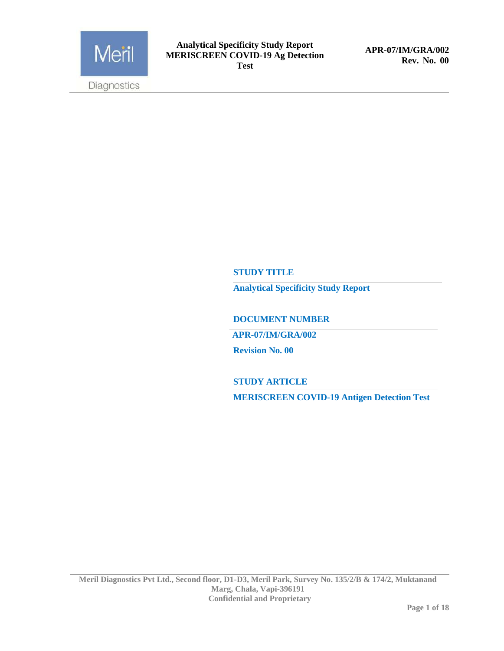

**APR-07/IM/GRA/002 Rev. No. 00**

#### **STUDY TITLE**

**Analytical Specificity Study Report** 

**DOCUMENT NUMBER** 

 **APR-07/IM/GRA/002**

**Revision No. 00**

**STUDY ARTICLE**

**MERISCREEN COVID-19 Antigen Detection Test**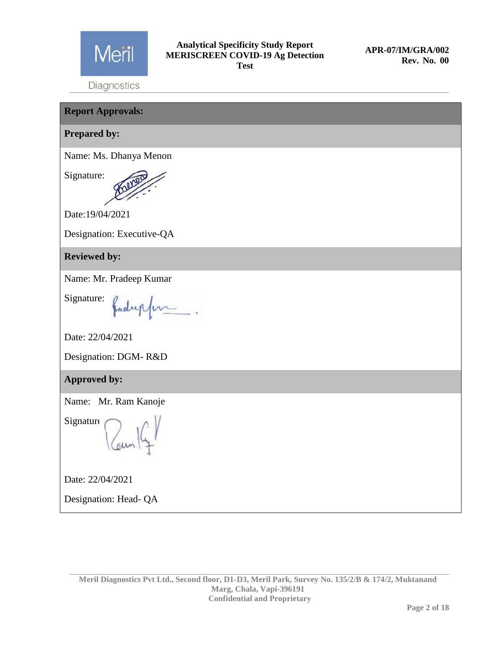

Diagnostics

**Report Approvals: Prepared by:** Name: Ms. Dhanya Menon Signature: Date:19/04/2021 Designation: Executive-QA **Reviewed by:** Name: Mr. Pradeep Kumar Signature: Jadreppen Date: 22/04/2021 Designation: DGM- R&D **Approved by:** Name: Mr. Ram Kanoje Signature Date: 22/04/2021 Designation: Head- QA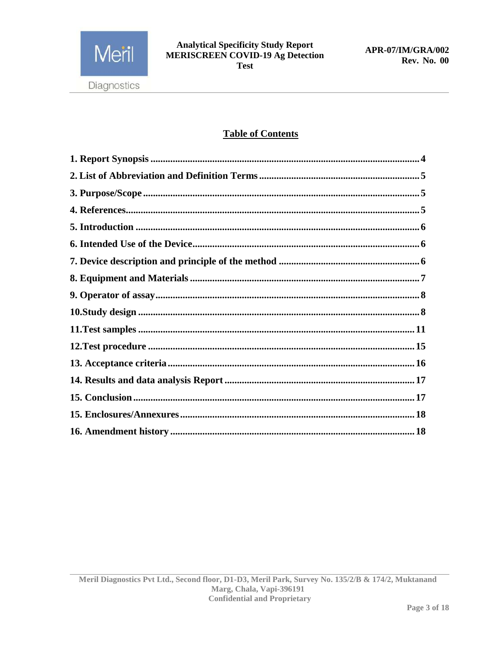

# **Table of Contents**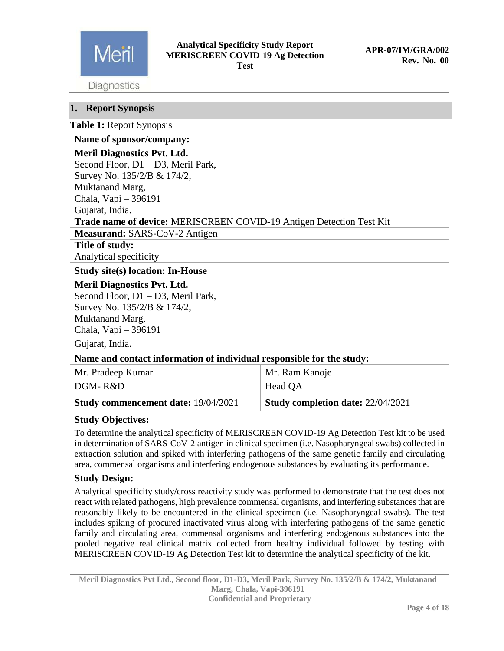

Diagnostics

### <span id="page-3-0"></span>**1. Report Synopsis**

|  |  | Table 1: Report Synopsis |
|--|--|--------------------------|
|--|--|--------------------------|

| Name of sponsor/company:                                              |                                          |  |
|-----------------------------------------------------------------------|------------------------------------------|--|
| <b>Meril Diagnostics Pvt. Ltd.</b>                                    |                                          |  |
| Second Floor, D1 – D3, Meril Park,                                    |                                          |  |
| Survey No. 135/2/B & 174/2,                                           |                                          |  |
| Muktanand Marg,                                                       |                                          |  |
| Chala, Vapi - 396191                                                  |                                          |  |
| Gujarat, India.                                                       |                                          |  |
| Trade name of device: MERISCREEN COVID-19 Antigen Detection Test Kit  |                                          |  |
| Measurand: SARS-CoV-2 Antigen                                         |                                          |  |
| Title of study:                                                       |                                          |  |
| Analytical specificity                                                |                                          |  |
| <b>Study site(s) location: In-House</b>                               |                                          |  |
| <b>Meril Diagnostics Pvt. Ltd.</b>                                    |                                          |  |
| Second Floor, D1 - D3, Meril Park,                                    |                                          |  |
| Survey No. 135/2/B & 174/2,                                           |                                          |  |
| Muktanand Marg,                                                       |                                          |  |
| Chala, Vapi - 396191                                                  |                                          |  |
| Gujarat, India.                                                       |                                          |  |
| Name and contact information of individual responsible for the study: |                                          |  |
| Mr. Pradeep Kumar                                                     | Mr. Ram Kanoje                           |  |
| DGM-R&D                                                               | Head QA                                  |  |
| <b>Study commencement date: 19/04/2021</b>                            | <b>Study completion date: 22/04/2021</b> |  |

#### **Study Objectives:**

To determine the analytical specificity of MERISCREEN COVID-19 Ag Detection Test kit to be used in determination of SARS-CoV-2 antigen in clinical specimen (i.e. Nasopharyngeal swabs) collected in extraction solution and spiked with interfering pathogens of the same genetic family and circulating area, commensal organisms and interfering endogenous substances by evaluating its performance.

## **Study Design:**

Analytical specificity study/cross reactivity study was performed to demonstrate that the test does not react with related pathogens, high prevalence commensal organisms, and interfering substances that are reasonably likely to be encountered in the clinical specimen (i.e. Nasopharyngeal swabs). The test includes spiking of procured inactivated virus along with interfering pathogens of the same genetic family and circulating area, commensal organisms and interfering endogenous substances into the pooled negative real clinical matrix collected from healthy individual followed by testing with MERISCREEN COVID-19 Ag Detection Test kit to determine the analytical specificity of the kit.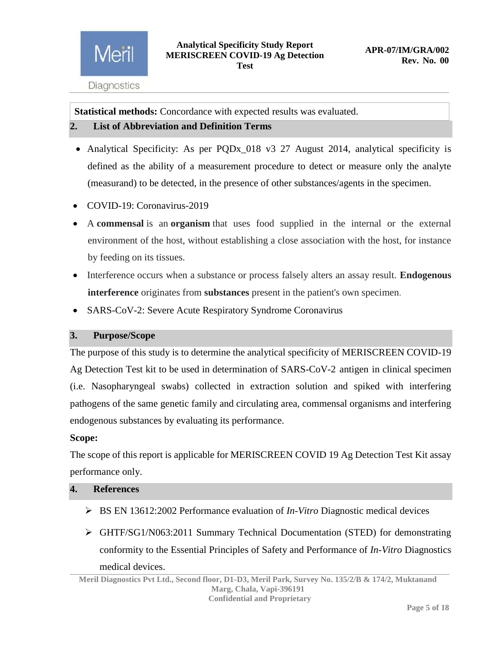**Statistical methods:** Concordance with expected results was evaluated.

# <span id="page-4-0"></span>**2. List of Abbreviation and Definition Terms**

- Analytical Specificity: As per PQDx\_018 v3 27 August 2014, analytical specificity is defined as the ability of a measurement procedure to detect or measure only the analyte (measurand) to be detected, in the presence of other substances/agents in the specimen.
- COVID-19: Coronavirus-2019
- A **commensal** is an **organism** that uses food supplied in the internal or the external environment of the host, without establishing a close association with the host, for instance by feeding on its tissues.
- Interference occurs when a substance or process falsely alters an assay result. **Endogenous interference** originates from **substances** present in the patient's own specimen.
- SARS-CoV-2: Severe Acute Respiratory Syndrome Coronavirus

# <span id="page-4-1"></span>**3. Purpose/Scope**

The purpose of this study is to determine the analytical specificity of MERISCREEN COVID-19 Ag Detection Test kit to be used in determination of SARS-CoV-2 antigen in clinical specimen (i.e. Nasopharyngeal swabs) collected in extraction solution and spiked with interfering pathogens of the same genetic family and circulating area, commensal organisms and interfering endogenous substances by evaluating its performance.

## **Scope:**

The scope of this report is applicable for MERISCREEN COVID 19 Ag Detection Test Kit assay performance only.

# <span id="page-4-2"></span>**4. References**

- BS EN 13612:2002 Performance evaluation of *In-Vitro* Diagnostic medical devices
- GHTF/SG1/N063:2011 Summary Technical Documentation (STED) for demonstrating conformity to the Essential Principles of Safety and Performance of *In-Vitro* Diagnostics medical devices.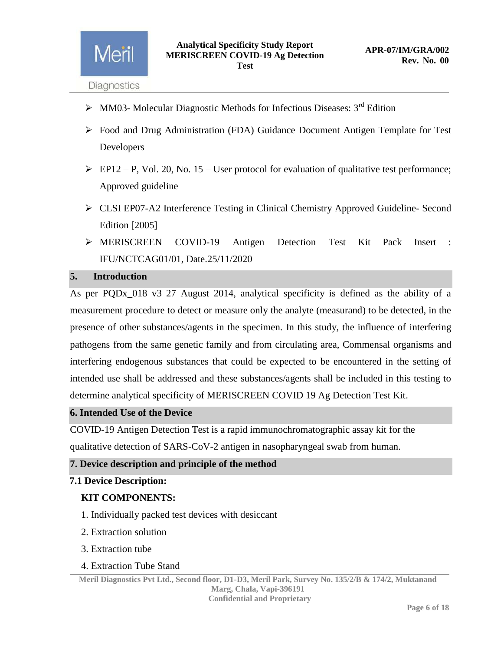Meril

- $\triangleright$  MM03- Molecular Diagnostic Methods for Infectious Diseases: 3<sup>rd</sup> Edition
- Food and Drug Administration (FDA) Guidance Document Antigen Template for Test Developers
- $\triangleright$  EP12 P, Vol. 20, No. 15 User protocol for evaluation of qualitative test performance; Approved guideline
- CLSI EP07-A2 Interference Testing in Clinical Chemistry Approved Guideline- Second Edition [2005]
- > MERISCREEN COVID-19 Antigen Detection Test Kit Pack Insert IFU/NCTCAG01/01, Date.25/11/2020

#### <span id="page-5-0"></span>**5. Introduction**

As per PQDx\_018 v3 27 August 2014, analytical specificity is defined as the ability of a measurement procedure to detect or measure only the analyte (measurand) to be detected, in the presence of other substances/agents in the specimen. In this study, the influence of interfering pathogens from the same genetic family and from circulating area, Commensal organisms and interfering endogenous substances that could be expected to be encountered in the setting of intended use shall be addressed and these substances/agents shall be included in this testing to determine analytical specificity of MERISCREEN COVID 19 Ag Detection Test Kit.

#### <span id="page-5-1"></span>**6. Intended Use of the Device**

COVID-19 Antigen Detection Test is a rapid immunochromatographic assay kit for the qualitative detection of SARS-CoV-2 antigen in nasopharyngeal swab from human.

#### <span id="page-5-2"></span>**7. Device description and principle of the method**

#### **7.1 Device Description:**

#### **KIT COMPONENTS:**

- 1. Individually packed test devices with desiccant
- 2. Extraction solution
- 3. Extraction tube
- 4. Extraction Tube Stand

**Meril Diagnostics Pvt Ltd., Second floor, D1-D3, Meril Park, Survey No. 135/2/B & 174/2, Muktanand Marg, Chala, Vapi-396191 Confidential and Proprietary**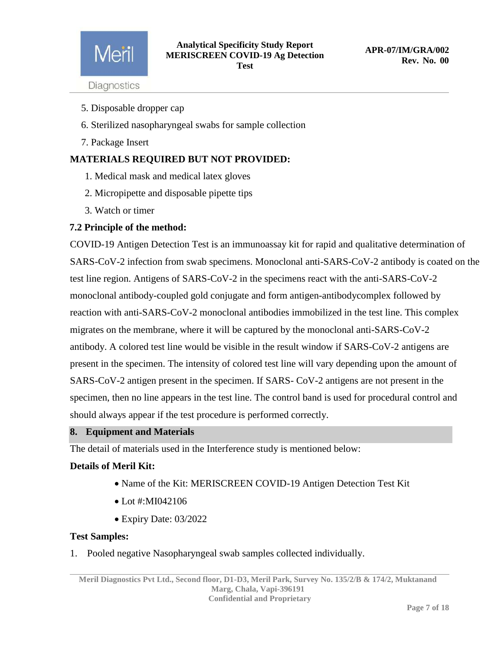

- **Diagnostics**
- 5. Disposable dropper cap
- 6. Sterilized nasopharyngeal swabs for sample collection
- 7. Package Insert

# **MATERIALS REQUIRED BUT NOT PROVIDED:**

- 1. Medical mask and medical latex gloves
- 2. Micropipette and disposable pipette tips
- 3. Watch or timer

#### **7.2 Principle of the method:**

COVID-19 Antigen Detection Test is an immunoassay kit for rapid and qualitative determination of SARS-CoV-2 infection from swab specimens. Monoclonal anti-SARS-CoV-2 antibody is coated on the test line region. Antigens of SARS-CoV-2 in the specimens react with the anti-SARS-CoV-2 monoclonal antibody-coupled gold conjugate and form antigen-antibodycomplex followed by reaction with anti-SARS-CoV-2 monoclonal antibodies immobilized in the test line. This complex migrates on the membrane, where it will be captured by the monoclonal anti-SARS-CoV-2 antibody. A colored test line would be visible in the result window if SARS-CoV-2 antigens are present in the specimen. The intensity of colored test line will vary depending upon the amount of SARS-CoV-2 antigen present in the specimen. If SARS- CoV-2 antigens are not present in the specimen, then no line appears in the test line. The control band is used for procedural control and should always appear if the test procedure is performed correctly.

#### <span id="page-6-0"></span>**8. Equipment and Materials**

The detail of materials used in the Interference study is mentioned below:

#### **Details of Meril Kit:**

- Name of the Kit: MERISCREEN COVID-19 Antigen Detection Test Kit
- Lot #:MI042106
- Expiry Date: 03/2022

#### **Test Samples:**

1. Pooled negative Nasopharyngeal swab samples collected individually.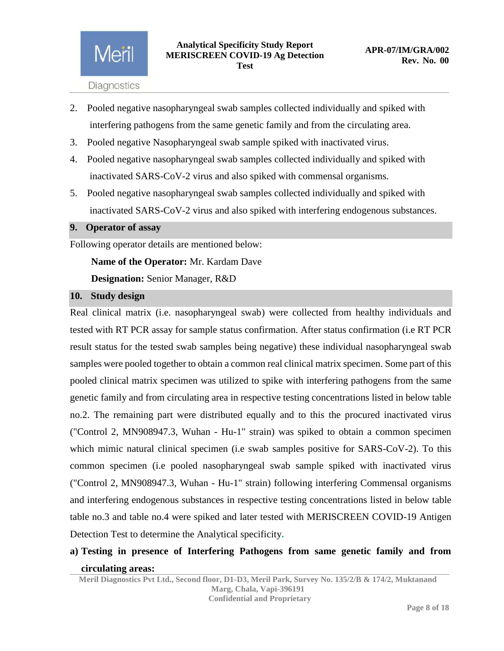- 2. Pooled negative nasopharyngeal swab samples collected individually and spiked with interfering pathogens from the same genetic family and from the circulating area.
- 3. Pooled negative Nasopharyngeal swab sample spiked with inactivated virus.
- 4. Pooled negative nasopharyngeal swab samples collected individually and spiked with inactivated SARS-CoV-2 virus and also spiked with commensal organisms.
- 5. Pooled negative nasopharyngeal swab samples collected individually and spiked with inactivated SARS-CoV-2 virus and also spiked with interfering endogenous substances.

## <span id="page-7-0"></span>**9. Operator of assay**

Following operator details are mentioned below:

 **Name of the Operator:** Mr. Kardam Dave

 **Designation:** Senior Manager, R&D

#### <span id="page-7-1"></span>**10. Study design**

Real clinical matrix (i.e. nasopharyngeal swab) were collected from healthy individuals and tested with RT PCR assay for sample status confirmation. After status confirmation (i.e RT PCR result status for the tested swab samples being negative) these individual nasopharyngeal swab samples were pooled together to obtain a common real clinical matrix specimen. Some part of this pooled clinical matrix specimen was utilized to spike with interfering pathogens from the same genetic family and from circulating area in respective testing concentrations listed in below table no.2. The remaining part were distributed equally and to this the procured inactivated virus ("Control 2, MN908947.3, Wuhan - Hu-1" strain) was spiked to obtain a common specimen which mimic natural clinical specimen (i.e swab samples positive for SARS-CoV-2). To this common specimen (i.e pooled nasopharyngeal swab sample spiked with inactivated virus ("Control 2, MN908947.3, Wuhan - Hu-1" strain) following interfering Commensal organisms and interfering endogenous substances in respective testing concentrations listed in below table table no.3 and table no.4 were spiked and later tested with MERISCREEN COVID-19 Antigen Detection Test to determine the Analytical specificity**.**

# **a) Testing in presence of Interfering Pathogens from same genetic family and from circulating areas:**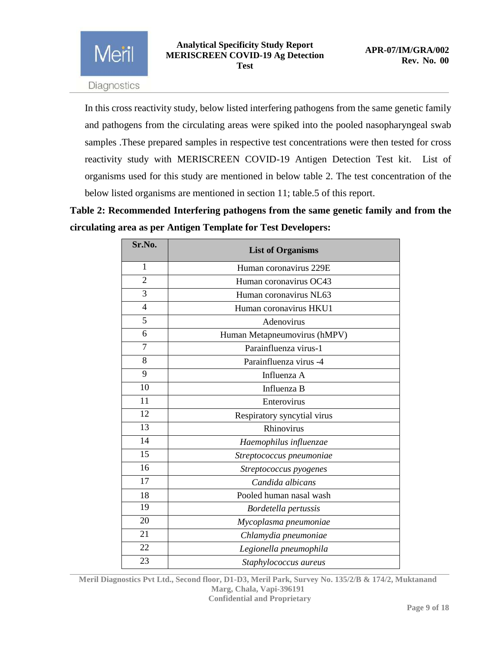Meril

In this cross reactivity study, below listed interfering pathogens from the same genetic family and pathogens from the circulating areas were spiked into the pooled nasopharyngeal swab samples .These prepared samples in respective test concentrations were then tested for cross reactivity study with MERISCREEN COVID-19 Antigen Detection Test kit. List of organisms used for this study are mentioned in below table 2. The test concentration of the below listed organisms are mentioned in section 11; table.5 of this report.

**Table 2: Recommended Interfering pathogens from the same genetic family and from the circulating area as per Antigen Template for Test Developers:**

| Sr.No.         | <b>List of Organisms</b>     |
|----------------|------------------------------|
| 1              | Human coronavirus 229E       |
| $\overline{2}$ | Human coronavirus OC43       |
| 3              | Human coronavirus NL63       |
| 4              | Human coronavirus HKU1       |
| 5              | Adenovirus                   |
| 6              | Human Metapneumovirus (hMPV) |
| $\overline{7}$ | Parainfluenza virus-1        |
| 8              | Parainfluenza virus -4       |
| 9              | Influenza A                  |
| 10             | Influenza B                  |
| 11             | Enterovirus                  |
| 12             | Respiratory syncytial virus  |
| 13             | Rhinovirus                   |
| 14             | Haemophilus influenzae       |
| 15             | Streptococcus pneumoniae     |
| 16             | Streptococcus pyogenes       |
| 17             | Candida albicans             |
| 18             | Pooled human nasal wash      |
| 19             | Bordetella pertussis         |
| 20             | Mycoplasma pneumoniae        |
| 21             | Chlamydia pneumoniae         |
| 22             | Legionella pneumophila       |
| 23             | Staphylococcus aureus        |

**Meril Diagnostics Pvt Ltd., Second floor, D1-D3, Meril Park, Survey No. 135/2/B & 174/2, Muktanand Marg, Chala, Vapi-396191 Confidential and Proprietary**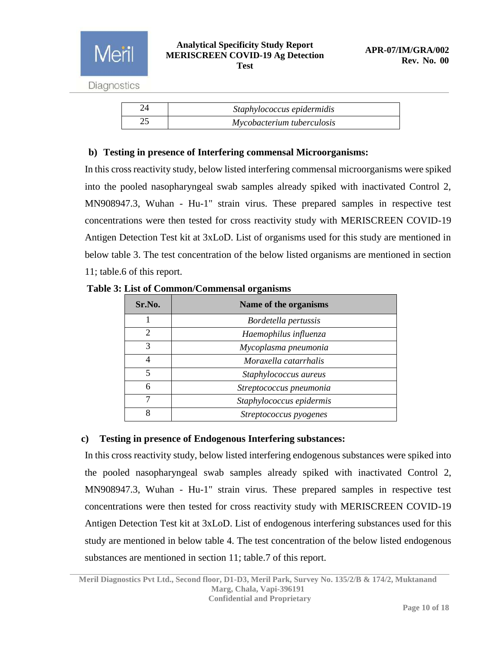| Staphylococcus epidermidis |
|----------------------------|
| Mycobacterium tuberculosis |

# **b) Testing in presence of Interfering commensal Microorganisms:**

In this cross reactivity study, below listed interfering commensal microorganisms were spiked into the pooled nasopharyngeal swab samples already spiked with inactivated Control 2, MN908947.3, Wuhan - Hu-1" strain virus. These prepared samples in respective test concentrations were then tested for cross reactivity study with MERISCREEN COVID-19 Antigen Detection Test kit at 3xLoD. List of organisms used for this study are mentioned in below table 3. The test concentration of the below listed organisms are mentioned in section 11; table.6 of this report.

| Sr.No.        | Name of the organisms    |
|---------------|--------------------------|
|               | Bordetella pertussis     |
| $\mathcal{D}$ | Haemophilus influenza    |
| 3             | Mycoplasma pneumonia     |
| 4             | Moraxella catarrhalis    |
| 5             | Staphylococcus aureus    |
| 6             | Streptococcus pneumonia  |
| 7             | Staphylococcus epidermis |
| 8             | Streptococcus pyogenes   |

#### **Table 3: List of Common/Commensal organisms**

## **c) Testing in presence of Endogenous Interfering substances:**

In this cross reactivity study, below listed interfering endogenous substances were spiked into the pooled nasopharyngeal swab samples already spiked with inactivated Control 2, MN908947.3, Wuhan - Hu-1" strain virus. These prepared samples in respective test concentrations were then tested for cross reactivity study with MERISCREEN COVID-19 Antigen Detection Test kit at 3xLoD. List of endogenous interfering substances used for this study are mentioned in below table 4. The test concentration of the below listed endogenous substances are mentioned in section 11; table.7 of this report.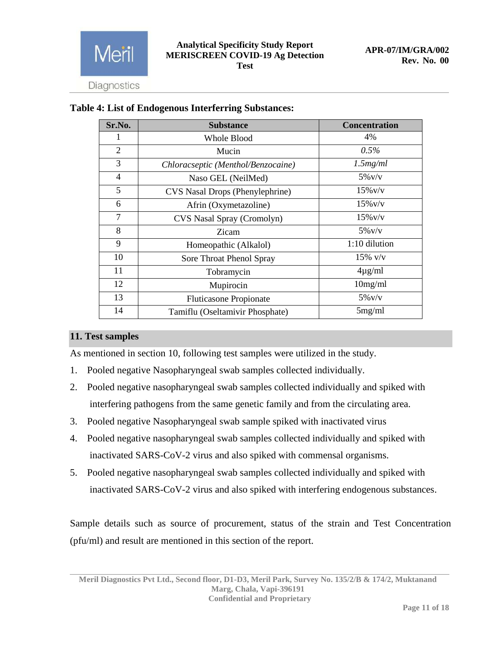

| Sr.No.         | <b>Substance</b>                   | <b>Concentration</b> |
|----------------|------------------------------------|----------------------|
|                | <b>Whole Blood</b>                 | 4%                   |
| $\overline{2}$ | Mucin                              | $0.5\%$              |
| 3              | Chloracseptic (Menthol/Benzocaine) | 1.5mg/ml             |
| $\overline{4}$ | Naso GEL (NeilMed)                 | $5\%$ V/V            |
| 5              | CVS Nasal Drops (Phenylephrine)    | $15\%$ v/v           |
| 6              | Afrin (Oxymetazoline)              | $15\%$ v/v           |
| 7              | CVS Nasal Spray (Cromolyn)         | $15\%$ v/v           |
| 8              | Zicam                              | $5\%$ v/v            |
| 9              | Homeopathic (Alkalol)              | 1:10 dilution        |
| 10             | Sore Throat Phenol Spray           | $15\%$ v/v           |
| 11             | Tobramycin                         | $4\mu$ g/ml          |
| 12             | Mupirocin                          | 10mg/ml              |
| 13             | <b>Fluticasone Propionate</b>      | $5\%$ V/V            |
| 14             | Tamiflu (Oseltamivir Phosphate)    | 5mg/ml               |

# **Table 4: List of Endogenous Interferring Substances:**

# <span id="page-10-0"></span>**11. Test samples**

As mentioned in section 10, following test samples were utilized in the study.

- 1. Pooled negative Nasopharyngeal swab samples collected individually.
- 2. Pooled negative nasopharyngeal swab samples collected individually and spiked with interfering pathogens from the same genetic family and from the circulating area.
- 3. Pooled negative Nasopharyngeal swab sample spiked with inactivated virus
- 4. Pooled negative nasopharyngeal swab samples collected individually and spiked with inactivated SARS-CoV-2 virus and also spiked with commensal organisms.
- 5. Pooled negative nasopharyngeal swab samples collected individually and spiked with inactivated SARS-CoV-2 virus and also spiked with interfering endogenous substances.

Sample details such as source of procurement, status of the strain and Test Concentration (pfu/ml) and result are mentioned in this section of the report.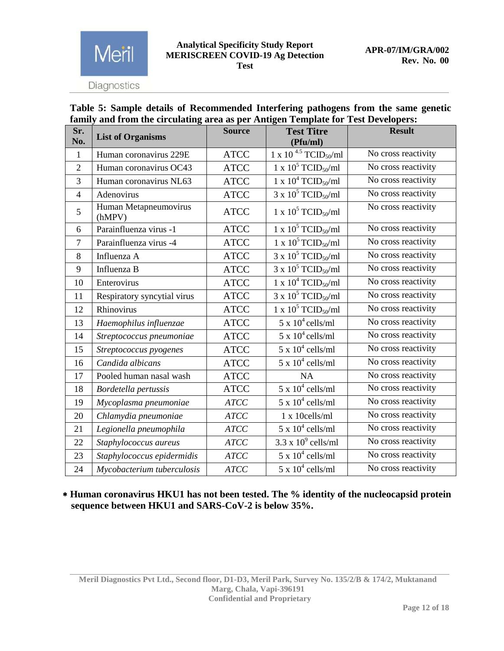Diagnostics

Meril

## **Table 5: Sample details of Recommended Interfering pathogens from the same genetic family and from the circulating area as per Antigen Template for Test Developers:**

| Sr.<br>No.     | <b>List of Organisms</b>        | <b>Source</b> | <b>Test Titre</b><br>(Pfu/ml)                | <b>Result</b>       |
|----------------|---------------------------------|---------------|----------------------------------------------|---------------------|
| $\mathbf{1}$   | Human coronavirus 229E          | <b>ATCC</b>   | 1 x 10 <sup>4.5</sup> TCID <sub>50</sub> /ml | No cross reactivity |
| $\overline{2}$ | Human coronavirus OC43          | <b>ATCC</b>   | 1 x $10^5$ TCID <sub>50</sub> /ml            | No cross reactivity |
| 3              | Human coronavirus NL63          | <b>ATCC</b>   | 1 x $10^4$ TCID <sub>50</sub> /ml            | No cross reactivity |
| $\overline{4}$ | Adenovirus                      | <b>ATCC</b>   | 3 x $10^5$ TCID <sub>50</sub> /ml            | No cross reactivity |
| 5              | Human Metapneumovirus<br>(hMPV) | <b>ATCC</b>   | 1 x $10^5$ TCID <sub>50</sub> /ml            | No cross reactivity |
| 6              | Parainfluenza virus -1          | <b>ATCC</b>   | 1 x $10^5$ TCID <sub>50</sub> /ml            | No cross reactivity |
| $\overline{7}$ | Parainfluenza virus -4          | <b>ATCC</b>   | 1 x $10^5$ TCID <sub>50</sub> /ml            | No cross reactivity |
| 8              | Influenza A                     | <b>ATCC</b>   | $3 \times 10^5$ TCID <sub>50</sub> /ml       | No cross reactivity |
| 9              | Influenza B                     | <b>ATCC</b>   | 3 x $10^5$ TCID <sub>50</sub> /ml            | No cross reactivity |
| 10             | Enterovirus                     | <b>ATCC</b>   | 1 x $10^4$ TCID <sub>50</sub> /ml            | No cross reactivity |
| 11             | Respiratory syncytial virus     | <b>ATCC</b>   | $3 \times 10^5$ TCID <sub>50</sub> /ml       | No cross reactivity |
| 12             | Rhinovirus                      | <b>ATCC</b>   | 1 x $10^5$ TCID <sub>50</sub> /ml            | No cross reactivity |
| 13             | Haemophilus influenzae          | <b>ATCC</b>   | $5 \times 10^4$ cells/ml                     | No cross reactivity |
| 14             | Streptococcus pneumoniae        | <b>ATCC</b>   | $5 \times 10^4$ cells/ml                     | No cross reactivity |
| 15             | Streptococcus pyogenes          | <b>ATCC</b>   | $5 \times 10^4$ cells/ml                     | No cross reactivity |
| 16             | Candida albicans                | <b>ATCC</b>   | $5 \times 10^4$ cells/ml                     | No cross reactivity |
| 17             | Pooled human nasal wash         | <b>ATCC</b>   | NA                                           | No cross reactivity |
| 18             | Bordetella pertussis            | <b>ATCC</b>   | $5 \times 10^4$ cells/ml                     | No cross reactivity |
| 19             | Mycoplasma pneumoniae           | <b>ATCC</b>   | $5 \times 10^4$ cells/ml                     | No cross reactivity |
| 20             | Chlamydia pneumoniae            | <b>ATCC</b>   | 1 x 10cells/ml                               | No cross reactivity |
| 21             | Legionella pneumophila          | <b>ATCC</b>   | $5 \times 10^4$ cells/ml                     | No cross reactivity |
| 22             | Staphylococcus aureus           | <b>ATCC</b>   | $3.3 \times 10^9$ cells/ml                   | No cross reactivity |
| 23             | Staphylococcus epidermidis      | <b>ATCC</b>   | $5 \times 10^4$ cells/ml                     | No cross reactivity |
| 24             | Mycobacterium tuberculosis      | <b>ATCC</b>   | $5 \times 10^4$ cells/ml                     | No cross reactivity |

 **Human coronavirus HKU1 has not been tested. The % identity of the nucleocapsid protein sequence between HKU1 and SARS-CoV-2 is below 35%.**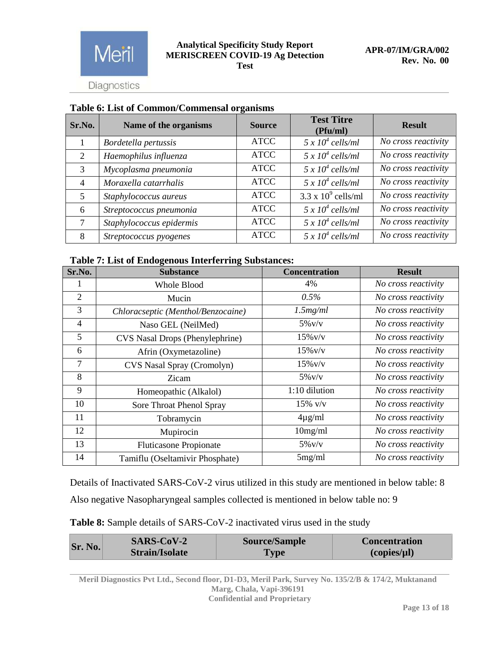

Meril

| Sr.No.         | Name of the organisms    | <b>Source</b> | <b>Test Titre</b><br>(Pfu/ml) | <b>Result</b>       |
|----------------|--------------------------|---------------|-------------------------------|---------------------|
|                | Bordetella pertussis     | <b>ATCC</b>   | $5 \times 10^4$ cells/ml      | No cross reactivity |
| 2              | Haemophilus influenza    | <b>ATCC</b>   | $5 \times 10^4$ cells/ml      | No cross reactivity |
| 3              | Mycoplasma pneumonia     | <b>ATCC</b>   | $5 \times 10^4$ cells/ml      | No cross reactivity |
| $\overline{4}$ | Moraxella catarrhalis    | <b>ATCC</b>   | $5 \times 10^4$ cells/ml      | No cross reactivity |
| 5              | Staphylococcus aureus    | <b>ATCC</b>   | $3.3 \times 10^9$ cells/ml    | No cross reactivity |
| 6              | Streptococcus pneumonia  | <b>ATCC</b>   | $5 \times 10^4$ cells/ml      | No cross reactivity |
| 7              | Staphylococcus epidermis | <b>ATCC</b>   | $5 \times 10^4$ cells/ml      | No cross reactivity |
| 8              | Streptococcus pyogenes   | <b>ATCC</b>   | $5 \times 10^4$ cells/ml      | No cross reactivity |

# **Table 6: List of Common/Commensal organisms**

#### **Table 7: List of Endogenous Interferring Substances:**

| Sr.No.         | <b>Substance</b>                   | <b>Concentration</b> | <b>Result</b>       |
|----------------|------------------------------------|----------------------|---------------------|
|                | Whole Blood                        | 4%                   | No cross reactivity |
| $\overline{2}$ | Mucin                              | $0.5\%$              | No cross reactivity |
| 3              | Chloracseptic (Menthol/Benzocaine) | 1.5mg/ml             | No cross reactivity |
| 4              | Naso GEL (NeilMed)                 | $5\%$ V/V            | No cross reactivity |
| 5              | CVS Nasal Drops (Phenylephrine)    | $15\%$ v/v           | No cross reactivity |
| 6              | Afrin (Oxymetazoline)              | $15\%$ v/v           | No cross reactivity |
| 7              | CVS Nasal Spray (Cromolyn)         | $15\%$ v/v           | No cross reactivity |
| 8              | Zicam                              | $5\%$ v/v            | No cross reactivity |
| 9              | Homeopathic (Alkalol)              | 1:10 dilution        | No cross reactivity |
| 10             | Sore Throat Phenol Spray           | $15\%$ v/v           | No cross reactivity |
| 11             | Tobramycin                         | $4\mu$ g/ml          | No cross reactivity |
| 12             | Mupirocin                          | 10mg/ml              | No cross reactivity |
| 13             | <b>Fluticasone Propionate</b>      | $5\%$ V/V            | No cross reactivity |
| 14             | Tamiflu (Oseltamivir Phosphate)    | 5mg/ml               | No cross reactivity |

Details of Inactivated SARS-CoV-2 virus utilized in this study are mentioned in below table: 8 Also negative Nasopharyngeal samples collected is mentioned in below table no: 9

| Table 8: Sample details of SARS-CoV-2 inactivated virus used in the study |
|---------------------------------------------------------------------------|
|---------------------------------------------------------------------------|

| <b>Sr. No.</b> | <b>SARS-CoV-2</b>     | <b>Source/Sample</b> | <b>Concentration</b> |
|----------------|-----------------------|----------------------|----------------------|
|                | <b>Strain/Isolate</b> | Type                 | (copies/µl)          |

**Meril Diagnostics Pvt Ltd., Second floor, D1-D3, Meril Park, Survey No. 135/2/B & 174/2, Muktanand Marg, Chala, Vapi-396191 Confidential and Proprietary**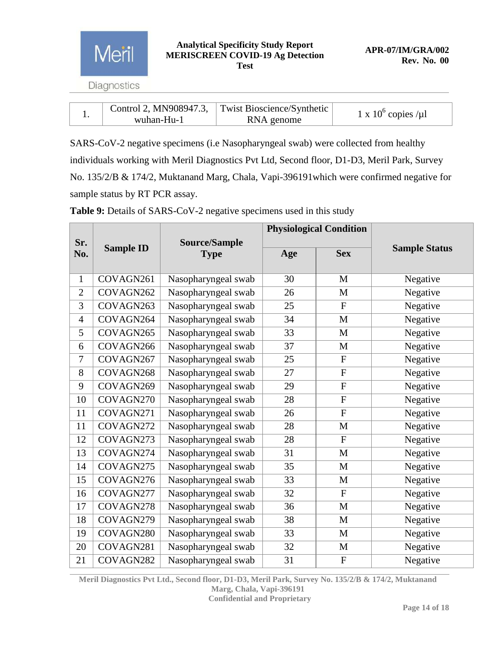

|  |            | Control 2, MN908947.3, Twist Bioscience/Synthetic | 1 x $10^6$ copies /µ1 |
|--|------------|---------------------------------------------------|-----------------------|
|  | wuhan-Hu-1 | RNA genome                                        |                       |

SARS-CoV-2 negative specimens (i.e Nasopharyngeal swab) were collected from healthy individuals working with Meril Diagnostics Pvt Ltd, Second floor, D1-D3, Meril Park, Survey No. 135/2/B & 174/2, Muktanand Marg, Chala, Vapi-396191which were confirmed negative for sample status by RT PCR assay.

|                | <b>Sample ID</b> |                                     | <b>Physiological Condition</b> |                |                      |
|----------------|------------------|-------------------------------------|--------------------------------|----------------|----------------------|
| Sr.<br>No.     |                  | <b>Source/Sample</b><br><b>Type</b> | Age                            | <b>Sex</b>     | <b>Sample Status</b> |
| $\mathbf{1}$   | COVAGN261        | Nasopharyngeal swab                 | 30                             | M              | Negative             |
| $\overline{2}$ | COVAGN262        | Nasopharyngeal swab                 | 26                             | M              | Negative             |
| 3              | COVAGN263        | Nasopharyngeal swab                 | 25                             | $\overline{F}$ | Negative             |
| $\overline{4}$ | COVAGN264        | Nasopharyngeal swab                 | 34                             | M              | Negative             |
| 5              | COVAGN265        | Nasopharyngeal swab                 | 33                             | M              | Negative             |
| 6              | COVAGN266        | Nasopharyngeal swab                 | 37                             | M              | Negative             |
| $\overline{7}$ | COVAGN267        | Nasopharyngeal swab                 | 25                             | $\mathbf{F}$   | Negative             |
| 8              | COVAGN268        | Nasopharyngeal swab                 | 27                             | $\mathbf{F}$   | Negative             |
| 9              | COVAGN269        | Nasopharyngeal swab                 | 29                             | $\overline{F}$ | Negative             |
| 10             | COVAGN270        | Nasopharyngeal swab                 | 28                             | $\overline{F}$ | Negative             |
| 11             | COVAGN271        | Nasopharyngeal swab                 | 26                             | $\overline{F}$ | Negative             |
| 11             | COVAGN272        | Nasopharyngeal swab                 | 28                             | $\mathbf{M}$   | Negative             |
| 12             | COVAGN273        | Nasopharyngeal swab                 | 28                             | $\overline{F}$ | Negative             |
| 13             | COVAGN274        | Nasopharyngeal swab                 | 31                             | M              | Negative             |
| 14             | COVAGN275        | Nasopharyngeal swab                 | 35                             | M              | Negative             |
| 15             | COVAGN276        | Nasopharyngeal swab                 | 33                             | M              | Negative             |
| 16             | COVAGN277        | Nasopharyngeal swab                 | 32                             | $\mathbf{F}$   | Negative             |
| 17             | COVAGN278        | Nasopharyngeal swab                 | 36                             | $\mathbf{M}$   | Negative             |
| 18             | COVAGN279        | Nasopharyngeal swab                 | 38                             | M              | Negative             |
| 19             | COVAGN280        | Nasopharyngeal swab                 | 33                             | M              | Negative             |
| 20             | COVAGN281        | Nasopharyngeal swab                 | 32                             | $\mathbf M$    | Negative             |
| 21             | COVAGN282        | Nasopharyngeal swab                 | 31                             | $\mathbf F$    | Negative             |

**Table 9:** Details of SARS-CoV-2 negative specimens used in this study

**Meril Diagnostics Pvt Ltd., Second floor, D1-D3, Meril Park, Survey No. 135/2/B & 174/2, Muktanand Marg, Chala, Vapi-396191 Confidential and Proprietary**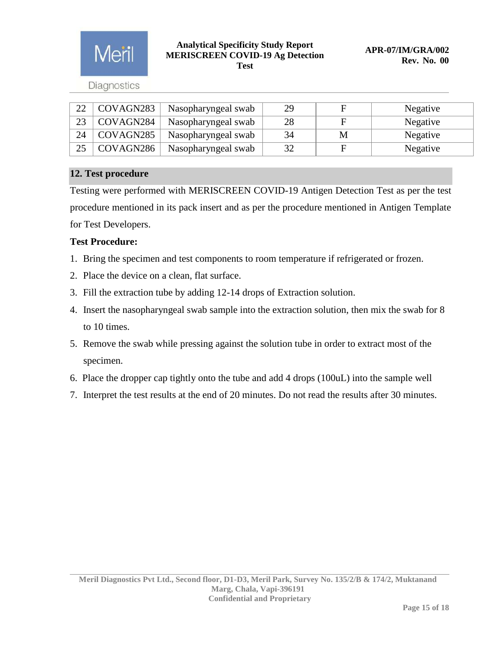

**Diagnostics** 

| 22 | COVAGN283 | Nasopharyngeal swab | 29 | F | Negative |
|----|-----------|---------------------|----|---|----------|
| 23 | COVAGN284 | Nasopharyngeal swab | 28 | E | Negative |
| 24 | COVAGN285 | Nasopharyngeal swab | 34 | M | Negative |
| 25 | COVAGN286 | Nasopharyngeal swab | 32 | F | Negative |

## <span id="page-14-0"></span>**12. Test procedure**

Testing were performed with MERISCREEN COVID-19 Antigen Detection Test as per the test procedure mentioned in its pack insert and as per the procedure mentioned in Antigen Template for Test Developers.

# **Test Procedure:**

- 1. Bring the specimen and test components to room temperature if refrigerated or frozen.
- 2. Place the device on a clean, flat surface.
- 3. Fill the extraction tube by adding 12-14 drops of Extraction solution.
- 4. Insert the nasopharyngeal swab sample into the extraction solution, then mix the swab for 8 to 10 times.
- 5. Remove the swab while pressing against the solution tube in order to extract most of the specimen.
- 6. Place the dropper cap tightly onto the tube and add 4 drops (100uL) into the sample well
- 7. Interpret the test results at the end of 20 minutes. Do not read the results after 30 minutes.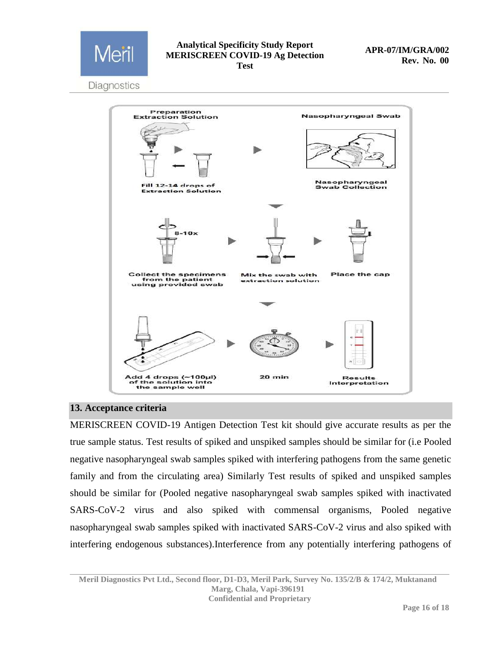

Diagnostics



## <span id="page-15-0"></span>**13. Acceptance criteria**

MERISCREEN COVID-19 Antigen Detection Test kit should give accurate results as per the true sample status. Test results of spiked and unspiked samples should be similar for (i.e Pooled negative nasopharyngeal swab samples spiked with interfering pathogens from the same genetic family and from the circulating area) Similarly Test results of spiked and unspiked samples should be similar for (Pooled negative nasopharyngeal swab samples spiked with inactivated SARS-CoV-2 virus and also spiked with commensal organisms, Pooled negative nasopharyngeal swab samples spiked with inactivated SARS-CoV-2 virus and also spiked with interfering endogenous substances).Interference from any potentially interfering pathogens of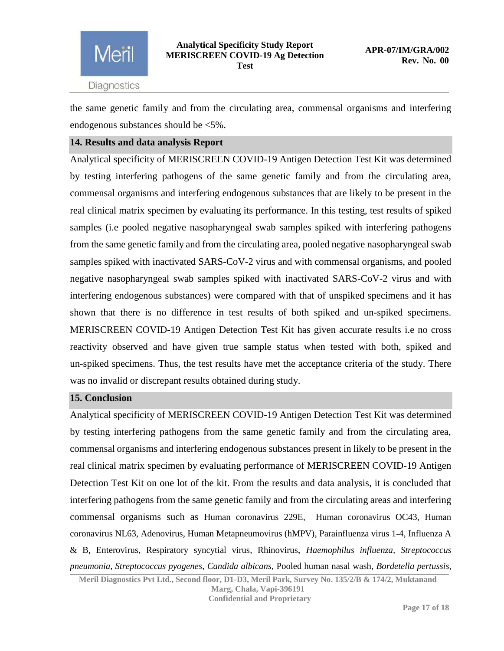

the same genetic family and from the circulating area, commensal organisms and interfering endogenous substances should be <5%.

## <span id="page-16-0"></span>**14. Results and data analysis Report**

Analytical specificity of MERISCREEN COVID-19 Antigen Detection Test Kit was determined by testing interfering pathogens of the same genetic family and from the circulating area, commensal organisms and interfering endogenous substances that are likely to be present in the real clinical matrix specimen by evaluating its performance. In this testing, test results of spiked samples (i.e pooled negative nasopharyngeal swab samples spiked with interfering pathogens from the same genetic family and from the circulating area, pooled negative nasopharyngeal swab samples spiked with inactivated SARS-CoV-2 virus and with commensal organisms, and pooled negative nasopharyngeal swab samples spiked with inactivated SARS-CoV-2 virus and with interfering endogenous substances) were compared with that of unspiked specimens and it has shown that there is no difference in test results of both spiked and un-spiked specimens. MERISCREEN COVID-19 Antigen Detection Test Kit has given accurate results i.e no cross reactivity observed and have given true sample status when tested with both, spiked and un-spiked specimens. Thus, the test results have met the acceptance criteria of the study. There was no invalid or discrepant results obtained during study.

## <span id="page-16-1"></span>**15. Conclusion**

Analytical specificity of MERISCREEN COVID-19 Antigen Detection Test Kit was determined by testing interfering pathogens from the same genetic family and from the circulating area, commensal organisms and interfering endogenous substances present in likely to be present in the real clinical matrix specimen by evaluating performance of MERISCREEN COVID-19 Antigen Detection Test Kit on one lot of the kit. From the results and data analysis, it is concluded that interfering pathogens from the same genetic family and from the circulating areas and interfering commensal organisms such as Human coronavirus 229E, Human coronavirus OC43, Human coronavirus NL63, Adenovirus, Human Metapneumovirus (hMPV), Parainfluenza virus 1-4, Influenza A & B, Enterovirus, Respiratory syncytial virus, Rhinovirus, *Haemophilus influenza, Streptococcus pneumonia, Streptococcus pyogenes, Candida albicans,* Pooled human nasal wash*, Bordetella pertussis,* 

**Meril Diagnostics Pvt Ltd., Second floor, D1-D3, Meril Park, Survey No. 135/2/B & 174/2, Muktanand Marg, Chala, Vapi-396191 Confidential and Proprietary**